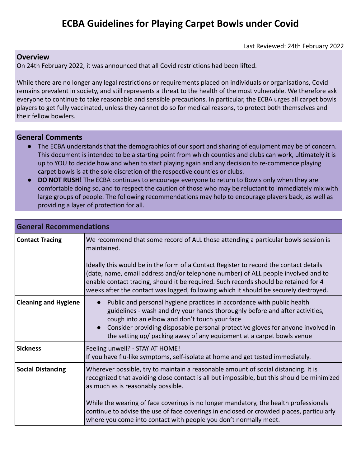## **ECBA Guidelines for Playing Carpet Bowls under Covid**

Last Reviewed: 24th February 2022

## **Overview**

On 24th February 2022, it was announced that all Covid restrictions had been lifted.

While there are no longer any legal restrictions or requirements placed on individuals or organisations, Covid remains prevalent in society, and still represents a threat to the health of the most vulnerable. We therefore ask everyone to continue to take reasonable and sensible precautions. In particular, the ECBA urges all carpet bowls players to get fully vaccinated, unless they cannot do so for medical reasons, to protect both themselves and their fellow bowlers.

## **General Comments**

- The ECBA understands that the demographics of our sport and sharing of equipment may be of concern. This document is intended to be a starting point from which counties and clubs can work, ultimately it is up to YOU to decide how and when to start playing again and any decision to re-commence playing carpet bowls is at the sole discretion of the respective counties or clubs.
- **DO NOT RUSH!** The ECBA continues to encourage everyone to return to Bowls only when they are comfortable doing so, and to respect the caution of those who may be reluctant to immediately mix with large groups of people. The following recommendations may help to encourage players back, as well as providing a layer of protection for all.

| <b>General Recommendations</b> |                                                                                                                                                                                                                                                                                                                                                                                                                                                                 |
|--------------------------------|-----------------------------------------------------------------------------------------------------------------------------------------------------------------------------------------------------------------------------------------------------------------------------------------------------------------------------------------------------------------------------------------------------------------------------------------------------------------|
| <b>Contact Tracing</b>         | We recommend that some record of ALL those attending a particular bowls session is<br>maintained.<br>Ideally this would be in the form of a Contact Register to record the contact details<br>(date, name, email address and/or telephone number) of ALL people involved and to<br>enable contact tracing, should it be required. Such records should be retained for 4<br>weeks after the contact was logged, following which it should be securely destroyed. |
| <b>Cleaning and Hygiene</b>    | Public and personal hygiene practices in accordance with public health<br>$\bullet$<br>guidelines - wash and dry your hands thoroughly before and after activities,<br>cough into an elbow and don't touch your face<br>Consider providing disposable personal protective gloves for anyone involved in<br>the setting up/ packing away of any equipment at a carpet bowls venue                                                                                |
| <b>Sickness</b>                | Feeling unwell? - STAY AT HOME!<br>If you have flu-like symptoms, self-isolate at home and get tested immediately.                                                                                                                                                                                                                                                                                                                                              |
| <b>Social Distancing</b>       | Wherever possible, try to maintain a reasonable amount of social distancing. It is<br>recognized that avoiding close contact is all but impossible, but this should be minimized<br>as much as is reasonably possible.<br>While the wearing of face coverings is no longer mandatory, the health professionals<br>continue to advise the use of face coverings in enclosed or crowded places, particularly                                                      |
|                                | where you come into contact with people you don't normally meet.                                                                                                                                                                                                                                                                                                                                                                                                |